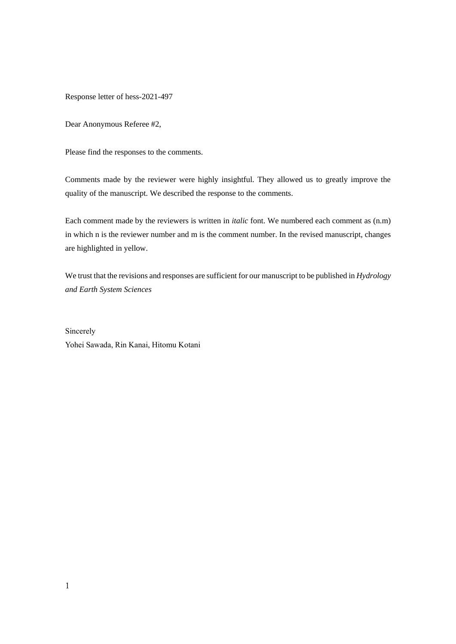Response letter of hess-2021-497

Dear Anonymous Referee #2,

Please find the responses to the comments.

Comments made by the reviewer were highly insightful. They allowed us to greatly improve the quality of the manuscript. We described the response to the comments.

Each comment made by the reviewers is written in *italic* font. We numbered each comment as (n.m) in which n is the reviewer number and m is the comment number. In the revised manuscript, changes are highlighted in yellow.

We trust that the revisions and responses are sufficient for our manuscript to be published in *Hydrology and Earth System Sciences*

Sincerely Yohei Sawada, Rin Kanai, Hitomu Kotani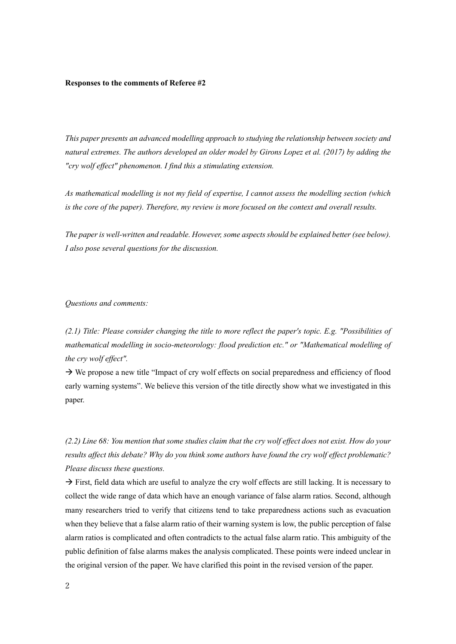#### **Responses to the comments of Referee #2**

*This paper presents an advanced modelling approach to studying the relationship between society and natural extremes. The authors developed an older model by Girons Lopez et al. (2017) by adding the "cry wolf effect" phenomenon. I find this a stimulating extension.*

*As mathematical modelling is not my field of expertise, I cannot assess the modelling section (which is the core of the paper). Therefore, my review is more focused on the context and overall results.*

*The paper is well-written and readable. However, some aspects should be explained better (see below). I also pose several questions for the discussion.*

#### *Questions and comments:*

*(2.1) Title: Please consider changing the title to more reflect the paper's topic. E.g. "Possibilities of mathematical modelling in socio-meteorology: flood prediction etc." or "Mathematical modelling of the cry wolf effect".*

 $\rightarrow$  We propose a new title "Impact of cry wolf effects on social preparedness and efficiency of flood early warning systems". We believe this version of the title directly show what we investigated in this paper.

*(2.2) Line 68: You mention that some studies claim that the cry wolf effect does not exist. How do your results affect this debate? Why do you think some authors have found the cry wolf effect problematic? Please discuss these questions.*

 $\rightarrow$  First, field data which are useful to analyze the cry wolf effects are still lacking. It is necessary to collect the wide range of data which have an enough variance of false alarm ratios. Second, although many researchers tried to verify that citizens tend to take preparedness actions such as evacuation when they believe that a false alarm ratio of their warning system is low, the public perception of false alarm ratios is complicated and often contradicts to the actual false alarm ratio. This ambiguity of the public definition of false alarms makes the analysis complicated. These points were indeed unclear in the original version of the paper. We have clarified this point in the revised version of the paper.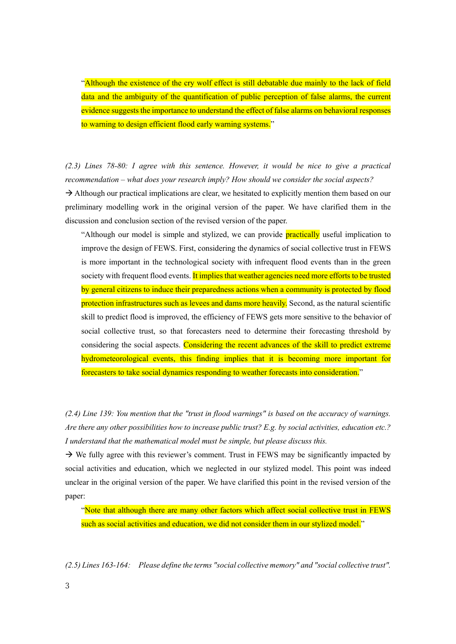"Although the existence of the cry wolf effect is still debatable due mainly to the lack of field data and the ambiguity of the quantification of public perception of false alarms, the current evidence suggests the importance to understand the effect of false alarms on behavioral responses to warning to design efficient flood early warning systems."

*(2.3) Lines 78-80: I agree with this sentence. However, it would be nice to give a practical recommendation – what does your research imply? How should we consider the social aspects?*

 $\rightarrow$  Although our practical implications are clear, we hesitated to explicitly mention them based on our preliminary modelling work in the original version of the paper. We have clarified them in the discussion and conclusion section of the revised version of the paper.

"Although our model is simple and stylized, we can provide practically useful implication to improve the design of FEWS. First, considering the dynamics of social collective trust in FEWS is more important in the technological society with infrequent flood events than in the green society with frequent flood events. It implies that weather agencies need more efforts to be trusted by general citizens to induce their preparedness actions when a community is protected by flood protection infrastructures such as levees and dams more heavily. Second, as the natural scientific skill to predict flood is improved, the efficiency of FEWS gets more sensitive to the behavior of social collective trust, so that forecasters need to determine their forecasting threshold by considering the social aspects. Considering the recent advances of the skill to predict extreme hydrometeorological events, this finding implies that it is becoming more important for forecasters to take social dynamics responding to weather forecasts into consideration."

*(2.4) Line 139: You mention that the "trust in flood warnings" is based on the accuracy of warnings. Are there any other possibilities how to increase public trust? E.g. by social activities, education etc.? I understand that the mathematical model must be simple, but please discuss this.*

 $\rightarrow$  We fully agree with this reviewer's comment. Trust in FEWS may be significantly impacted by social activities and education, which we neglected in our stylized model. This point was indeed unclear in the original version of the paper. We have clarified this point in the revised version of the paper:

"Note that although there are many other factors which affect social collective trust in FEWS such as social activities and education, we did not consider them in our stylized model."

*(2.5) Lines 163-164: Please define the terms "social collective memory" and "social collective trust".*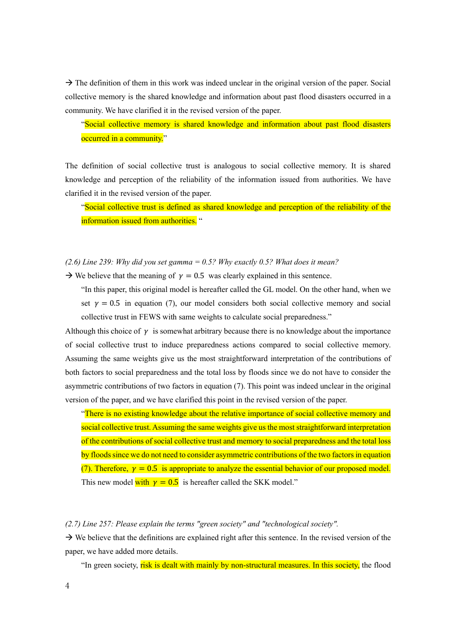$\rightarrow$  The definition of them in this work was indeed unclear in the original version of the paper. Social collective memory is the shared knowledge and information about past flood disasters occurred in a community. We have clarified it in the revised version of the paper.

"Social collective memory is shared knowledge and information about past flood disasters occurred in a community."

The definition of social collective trust is analogous to social collective memory. It is shared knowledge and perception of the reliability of the information issued from authorities. We have clarified it in the revised version of the paper.

"Social collective trust is defined as shared knowledge and perception of the reliability of the information issued from authorities. "

### *(2.6) Line 239: Why did you set gamma = 0.5? Why exactly 0.5? What does it mean?*

 $\rightarrow$  We believe that the meaning of  $\gamma = 0.5$  was clearly explained in this sentence.

"In this paper, this original model is hereafter called the GL model. On the other hand, when we set  $\gamma = 0.5$  in equation (7), our model considers both social collective memory and social collective trust in FEWS with same weights to calculate social preparedness."

Although this choice of  $\gamma$  is somewhat arbitrary because there is no knowledge about the importance of social collective trust to induce preparedness actions compared to social collective memory. Assuming the same weights give us the most straightforward interpretation of the contributions of both factors to social preparedness and the total loss by floods since we do not have to consider the asymmetric contributions of two factors in equation (7). This point was indeed unclear in the original version of the paper, and we have clarified this point in the revised version of the paper.

"There is no existing knowledge about the relative importance of social collective memory and social collective trust. Assuming the same weights give us the most straightforward interpretation of the contributions of social collective trust and memory to social preparedness and the total loss by floods since we do not need to consider asymmetric contributions of the two factors in equation (7). Therefore,  $\gamma = 0.5$  is appropriate to analyze the essential behavior of our proposed model. This new model with  $y = 0.5$  is hereafter called the SKK model."

*(2.7) Line 257: Please explain the terms "green society" and "technological society".*

 $\rightarrow$  We believe that the definitions are explained right after this sentence. In the revised version of the paper, we have added more details.

"In green society, risk is dealt with mainly by non-structural measures. In this society, the flood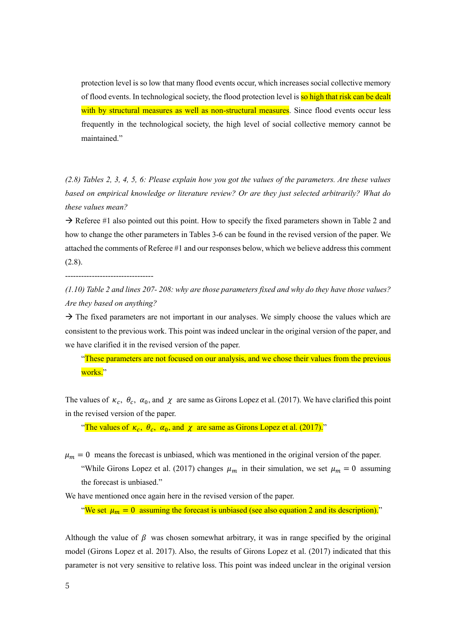protection level is so low that many flood events occur, which increases social collective memory of flood events. In technological society, the flood protection level is so high that risk can be dealt with by structural measures as well as non-structural measures. Since flood events occur less frequently in the technological society, the high level of social collective memory cannot be maintained."

*(2.8) Tables 2, 3, 4, 5, 6: Please explain how you got the values of the parameters. Are these values based on empirical knowledge or literature review? Or are they just selected arbitrarily? What do these values mean?*

 $\rightarrow$  Referee #1 also pointed out this point. How to specify the fixed parameters shown in Table 2 and how to change the other parameters in Tables 3-6 can be found in the revised version of the paper. We attached the comments of Referee #1 and our responses below, which we believe address this comment (2.8).

---------------------------------

*(1.10) Table 2 and lines 207- 208: why are those parameters fixed and why do they have those values? Are they based on anything?*

 $\rightarrow$  The fixed parameters are not important in our analyses. We simply choose the values which are consistent to the previous work. This point was indeed unclear in the original version of the paper, and we have clarified it in the revised version of the paper.

"These parameters are not focused on our analysis, and we chose their values from the previous works."

The values of  $\kappa_c$ ,  $\theta_c$ ,  $\alpha_0$ , and  $\chi$  are same as Girons Lopez et al. (2017). We have clarified this point in the revised version of the paper.

"The values of  $\kappa_c$ ,  $\theta_c$ ,  $\alpha_0$ , and  $\chi$  are same as Girons Lopez et al. (2017)."

 $\mu_m = 0$  means the forecast is unbiased, which was mentioned in the original version of the paper. "While Girons Lopez et al. (2017) changes  $\mu_m$  in their simulation, we set  $\mu_m = 0$  assuming the forecast is unbiased."

We have mentioned once again here in the revised version of the paper.

"We set  $\mu_m = 0$  assuming the forecast is unbiased (see also equation 2 and its description)."

Although the value of  $\beta$  was chosen somewhat arbitrary, it was in range specified by the original model (Girons Lopez et al. 2017). Also, the results of Girons Lopez et al. (2017) indicated that this parameter is not very sensitive to relative loss. This point was indeed unclear in the original version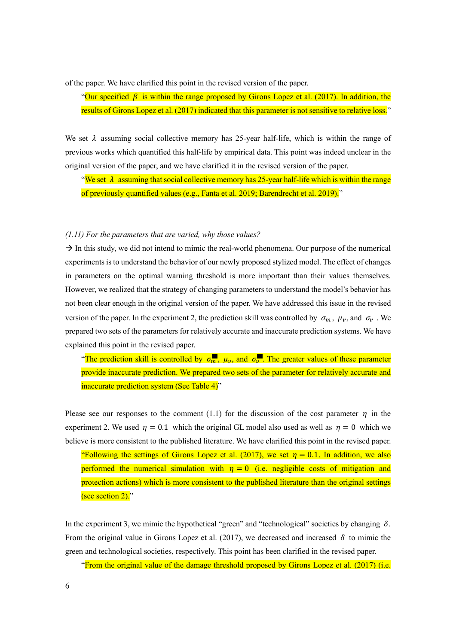of the paper. We have clarified this point in the revised version of the paper.

"Our specified  $\beta$  is within the range proposed by Girons Lopez et al. (2017). In addition, the results of Girons Lopez et al. (2017) indicated that this parameter is not sensitive to relative loss."

We set  $\lambda$  assuming social collective memory has 25-year half-life, which is within the range of previous works which quantified this half-life by empirical data. This point was indeed unclear in the original version of the paper, and we have clarified it in the revised version of the paper.

"We set  $\lambda$  assuming that social collective memory has 25-year half-life which is within the range of previously quantified values (e.g., Fanta et al. 2019; Barendrecht et al. 2019)."

### *(1.11) For the parameters that are varied, why those values?*

 $\rightarrow$  In this study, we did not intend to mimic the real-world phenomena. Our purpose of the numerical experiments is to understand the behavior of our newly proposed stylized model. The effect of changes in parameters on the optimal warning threshold is more important than their values themselves. However, we realized that the strategy of changing parameters to understand the model's behavior has not been clear enough in the original version of the paper. We have addressed this issue in the revised version of the paper. In the experiment 2, the prediction skill was controlled by  $\sigma_m$ ,  $\mu_v$ , and  $\sigma_v$ . We prepared two sets of the parameters for relatively accurate and inaccurate prediction systems. We have explained this point in the revised paper.

"The prediction skill is controlled by  $\sigma_m$ ,  $\mu_v$ , and  $\sigma_v$ . The greater values of these parameter provide inaccurate prediction. We prepared two sets of the parameter for relatively accurate and inaccurate prediction system (See Table 4)"

Please see our responses to the comment (1.1) for the discussion of the cost parameter  $\eta$  in the experiment 2. We used  $\eta = 0.1$  which the original GL model also used as well as  $\eta = 0$  which we believe is more consistent to the published literature. We have clarified this point in the revised paper. "Following the settings of Girons Lopez et al. (2017), we set  $\eta = 0.1$ . In addition, we also performed the numerical simulation with  $\eta = 0$  (i.e. negligible costs of mitigation and protection actions) which is more consistent to the published literature than the original settings (see section  $2$ )."

In the experiment 3, we mimic the hypothetical "green" and "technological" societies by changing  $\delta$ . From the original value in Girons Lopez et al. (2017), we decreased and increased  $\delta$  to mimic the green and technological societies, respectively. This point has been clarified in the revised paper.

"From the original value of the damage threshold proposed by Girons Lopez et al. (2017) (i.e.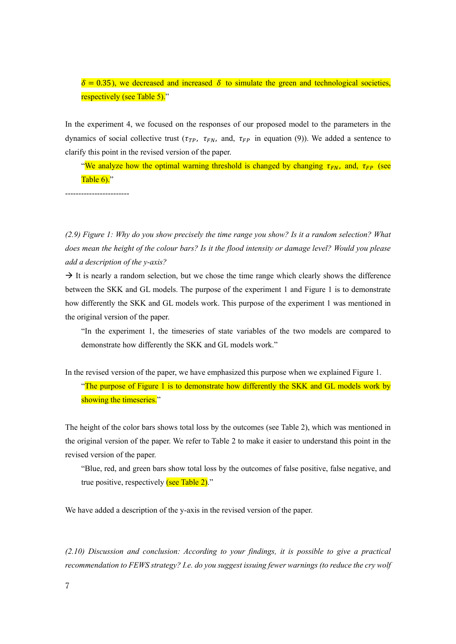$\delta = 0.35$ , we decreased and increased  $\delta$  to simulate the green and technological societies, respectively (see Table 5)."

In the experiment 4, we focused on the responses of our proposed model to the parameters in the dynamics of social collective trust ( $\tau_{rp}$ ,  $\tau_{FN}$ , and,  $\tau_{FP}$  in equation (9)). We added a sentence to clarify this point in the revised version of the paper.

"We analyze how the optimal warning threshold is changed by changing  $\tau_{FN}$ , and,  $\tau_{FP}$  (see Table 6)."

------------------------

*(2.9) Figure 1: Why do you show precisely the time range you show? Is it a random selection? What does mean the height of the colour bars? Is it the flood intensity or damage level? Would you please add a description of the y-axis?*

 $\rightarrow$  It is nearly a random selection, but we chose the time range which clearly shows the difference between the SKK and GL models. The purpose of the experiment 1 and Figure 1 is to demonstrate how differently the SKK and GL models work. This purpose of the experiment 1 was mentioned in the original version of the paper.

"In the experiment 1, the timeseries of state variables of the two models are compared to demonstrate how differently the SKK and GL models work."

In the revised version of the paper, we have emphasized this purpose when we explained Figure 1.

"The purpose of Figure 1 is to demonstrate how differently the SKK and GL models work by showing the timeseries."

The height of the color bars shows total loss by the outcomes (see Table 2), which was mentioned in the original version of the paper. We refer to Table 2 to make it easier to understand this point in the revised version of the paper.

"Blue, red, and green bars show total loss by the outcomes of false positive, false negative, and true positive, respectively  $\frac{\text{(see Table 2)}}{\text{.}}$ 

We have added a description of the y-axis in the revised version of the paper.

*(2.10) Discussion and conclusion: According to your findings, it is possible to give a practical recommendation to FEWS strategy? I.e. do you suggest issuing fewer warnings (to reduce the cry wolf*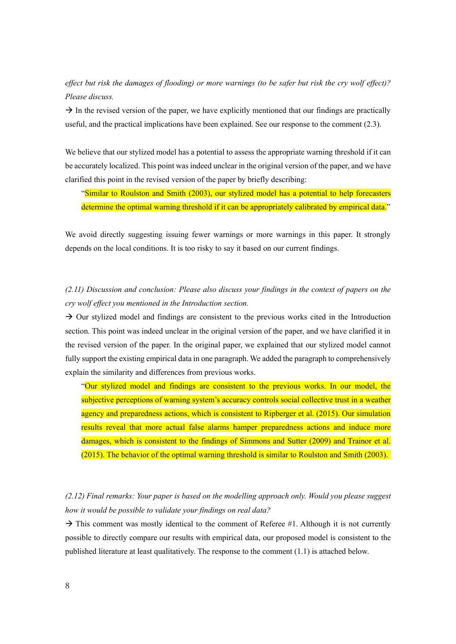*effect but risk the damages of flooding) or more warnings (to be safer but risk the cry wolf effect)? Please discuss.*

 $\rightarrow$  In the revised version of the paper, we have explicitly mentioned that our findings are practically useful, and the practical implications have been explained. See our response to the comment (2.3).

We believe that our stylized model has a potential to assess the appropriate warning threshold if it can be accurately localized. This point was indeed unclear in the original version of the paper, and we have clarified this point in the revised version of the paper by briefly describing:

"Similar to Roulston and Smith (2003), our stylized model has a potential to help forecasters determine the optimal warning threshold if it can be appropriately calibrated by empirical data."

We avoid directly suggesting issuing fewer warnings or more warnings in this paper. It strongly depends on the local conditions. It is too risky to say it based on our current findings.

# *(2.11) Discussion and conclusion: Please also discuss your findings in the context of papers on the cry wolf effect you mentioned in the Introduction section.*

 $\rightarrow$  Our stylized model and findings are consistent to the previous works cited in the Introduction section. This point was indeed unclear in the original version of the paper, and we have clarified it in the revised version of the paper. In the original paper, we explained that our stylized model cannot fully support the existing empirical data in one paragraph. We added the paragraph to comprehensively explain the similarity and differences from previous works.

"Our stylized model and findings are consistent to the previous works. In our model, the subjective perceptions of warning system's accuracy controls social collective trust in a weather agency and preparedness actions, which is consistent to Ripberger et al. (2015). Our simulation results reveal that more actual false alarms hamper preparedness actions and induce more damages, which is consistent to the findings of Simmons and Sutter (2009) and Trainor et al. (2015). The behavior of the optimal warning threshold is similar to Roulston and Smith (2003).

## *(2.12) Final remarks: Your paper is based on the modelling approach only. Would you please suggest how it would be possible to validate your findings on real data?*

 $\rightarrow$  This comment was mostly identical to the comment of Referee #1. Although it is not currently possible to directly compare our results with empirical data, our proposed model is consistent to the published literature at least qualitatively. The response to the comment (1.1) is attached below.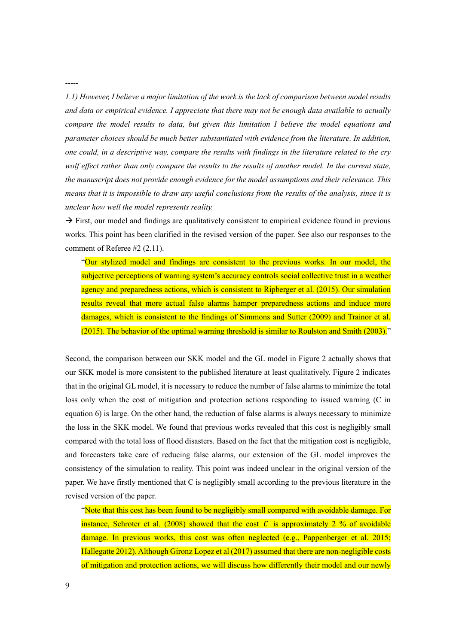*1.1) However, I believe a major limitation of the work is the lack of comparison between model results and data or empirical evidence. I appreciate that there may not be enough data available to actually compare the model results to data, but given this limitation I believe the model equations and parameter choices should be much better substantiated with evidence from the literature. In addition, one could, in a descriptive way, compare the results with findings in the literature related to the cry wolf effect rather than only compare the results to the results of another model. In the current state, the manuscript does not provide enough evidence for the model assumptions and their relevance. This means that it is impossible to draw any useful conclusions from the results of the analysis, since it is unclear how well the model represents reality.*

 $\rightarrow$  First, our model and findings are qualitatively consistent to empirical evidence found in previous works. This point has been clarified in the revised version of the paper. See also our responses to the comment of Referee #2 (2.11).

"Our stylized model and findings are consistent to the previous works. In our model, the subjective perceptions of warning system's accuracy controls social collective trust in a weather agency and preparedness actions, which is consistent to Ripberger et al. (2015). Our simulation results reveal that more actual false alarms hamper preparedness actions and induce more damages, which is consistent to the findings of Simmons and Sutter (2009) and Trainor et al. (2015). The behavior of the optimal warning threshold is similar to Roulston and Smith (2003)."

Second, the comparison between our SKK model and the GL model in Figure 2 actually shows that our SKK model is more consistent to the published literature at least qualitatively. Figure 2 indicates that in the original GL model, it is necessary to reduce the number of false alarms to minimize the total loss only when the cost of mitigation and protection actions responding to issued warning (C in equation 6) is large. On the other hand, the reduction of false alarms is always necessary to minimize the loss in the SKK model. We found that previous works revealed that this cost is negligibly small compared with the total loss of flood disasters. Based on the fact that the mitigation cost is negligible, and forecasters take care of reducing false alarms, our extension of the GL model improves the consistency of the simulation to reality. This point was indeed unclear in the original version of the paper. We have firstly mentioned that C is negligibly small according to the previous literature in the revised version of the paper.

"Note that this cost has been found to be negligibly small compared with avoidable damage. For instance, Schroter et al. (2008) showed that the cost C is approximately 2 % of avoidable damage. In previous works, this cost was often neglected (e.g., Pappenberger et al. 2015; Hallegatte 2012). Although Gironz Lopez et al (2017) assumed that there are non-negligible costs of mitigation and protection actions, we will discuss how differently their model and our newly

-----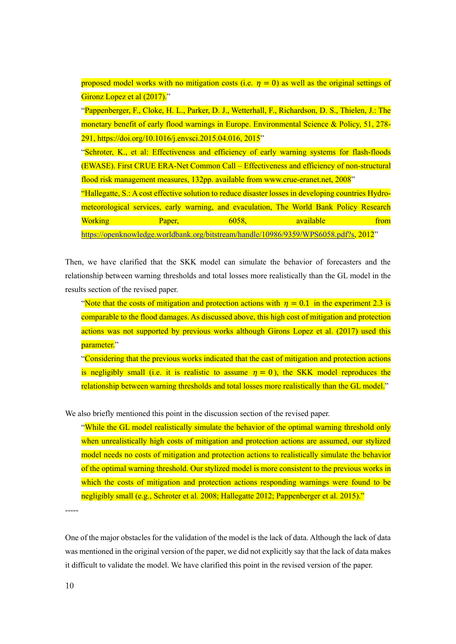|                                                                                              |        | proposed model works with no mitigation costs (i.e. $\eta = 0$ ) as well as the original settings of |           |  |      |
|----------------------------------------------------------------------------------------------|--------|------------------------------------------------------------------------------------------------------|-----------|--|------|
| Gironz Lopez et al (2017)."                                                                  |        |                                                                                                      |           |  |      |
|                                                                                              |        | "Pappenberger, F., Cloke, H. L., Parker, D. J., Wetterhall, F., Richardson, D. S., Thielen, J.: The  |           |  |      |
|                                                                                              |        | monetary benefit of early flood warnings in Europe. Environmental Science & Policy, 51, 278-         |           |  |      |
| 291, https://doi.org/10.1016/j.envsci.2015.04.016, 2015 <sup>'</sup> '                       |        |                                                                                                      |           |  |      |
| "Schroter, K., et al: Effectiveness and efficiency of early warning systems for flash-floods |        |                                                                                                      |           |  |      |
|                                                                                              |        | (EWASE). First CRUE ERA-Net Common Call – Effectiveness and efficiency of non-structural             |           |  |      |
| flood risk management measures, 132pp. available from www.crue-eranet.net, 2008"             |        |                                                                                                      |           |  |      |
|                                                                                              |        | "Hallegatte, S.: A cost effective solution to reduce disaster losses in developing countries Hydro-  |           |  |      |
|                                                                                              |        | meteorological services, early warning, and evaculation, The World Bank Policy Research              |           |  |      |
| <b>Working</b>                                                                               | Paper, | 6058.                                                                                                | available |  | from |
|                                                                                              |        | https://openknowledge.worldbank.org/bitstream/handle/10986/9359/WPS6058.pdf?s, 2012"                 |           |  |      |

Then, we have clarified that the SKK model can simulate the behavior of forecasters and the relationship between warning thresholds and total losses more realistically than the GL model in the results section of the revised paper.

"Note that the costs of mitigation and protection actions with  $\eta = 0.1$  in the experiment 2.3 is comparable to the flood damages. As discussed above, this high cost of mitigation and protection actions was not supported by previous works although Girons Lopez et al. (2017) used this parameter."

"Considering that the previous works indicated that the cast of mitigation and protection actions is negligibly small (i.e. it is realistic to assume  $\eta = 0$ ), the SKK model reproduces the relationship between warning thresholds and total losses more realistically than the GL model."

We also briefly mentioned this point in the discussion section of the revised paper.

"While the GL model realistically simulate the behavior of the optimal warning threshold only when unrealistically high costs of mitigation and protection actions are assumed, our stylized model needs no costs of mitigation and protection actions to realistically simulate the behavior of the optimal warning threshold. Our stylized model is more consistent to the previous works in which the costs of mitigation and protection actions responding warnings were found to be negligibly small (e.g., Schroter et al. 2008; Hallegatte 2012; Pappenberger et al. 2015)."

-----

One of the major obstacles for the validation of the model is the lack of data. Although the lack of data was mentioned in the original version of the paper, we did not explicitly say that the lack of data makes it difficult to validate the model. We have clarified this point in the revised version of the paper.